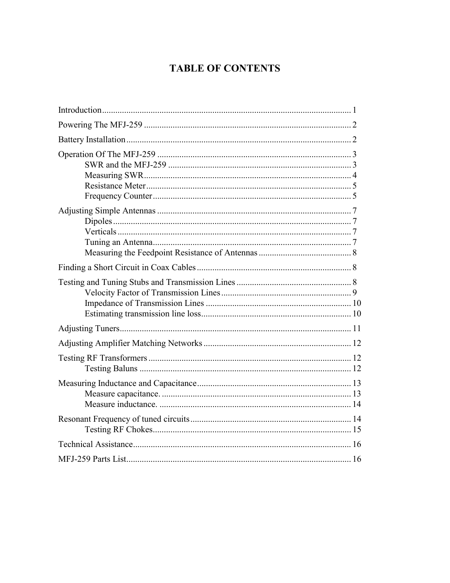# **TABLE OF CONTENTS**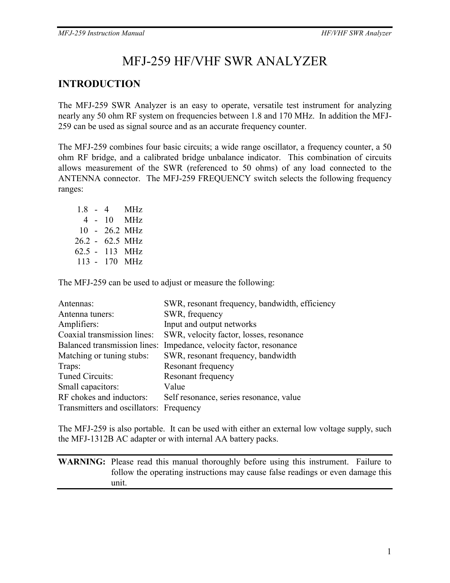# MFJ-259 HF/VHF SWR ANALYZER

## **INTRODUCTION**

The MFJ-259 SWR Analyzer is an easy to operate, versatile test instrument for analyzing nearly any 50 ohm RF system on frequencies between 1.8 and 170 MHz. In addition the MFJ-259 can be used as signal source and as an accurate frequency counter.

The MFJ-259 combines four basic circuits; a wide range oscillator, a frequency counter, a 50 ohm RF bridge, and a calibrated bridge unbalance indicator. This combination of circuits allows measurement of the SWR (referenced to 50 ohms) of any load connected to the ANTENNA connector. The MFJ-259 FREQUENCY switch selects the following frequency ranges:

|  | 18 - 4 | <b>MHz</b>              |
|--|--------|-------------------------|
|  |        | $4 - 10$ MHz            |
|  |        | $10 - 26.2 \text{ MHz}$ |
|  |        | 26.2 - 62.5 MHz         |
|  |        | 62.5 - 113 MHz          |
|  |        | 113 - 170 MHz           |

The MFJ-259 can be used to adjust or measure the following:

| Antennas:                               | SWR, resonant frequency, bandwidth, efficiency |
|-----------------------------------------|------------------------------------------------|
| Antenna tuners:                         | SWR, frequency                                 |
| Amplifiers:                             | Input and output networks                      |
| Coaxial transmission lines:             | SWR, velocity factor, losses, resonance        |
| Balanced transmission lines:            | Impedance, velocity factor, resonance          |
| Matching or tuning stubs:               | SWR, resonant frequency, bandwidth             |
| Traps:                                  | Resonant frequency                             |
| Tuned Circuits:                         | Resonant frequency                             |
| Small capacitors:                       | Value                                          |
| RF chokes and inductors:                | Self resonance, series resonance, value        |
| Transmitters and oscillators: Frequency |                                                |

The MFJ-259 is also portable. It can be used with either an external low voltage supply, such the MFJ-1312B AC adapter or with internal AA battery packs.

**WARNING:** Please read this manual thoroughly before using this instrument. Failure to follow the operating instructions may cause false readings or even damage this unit.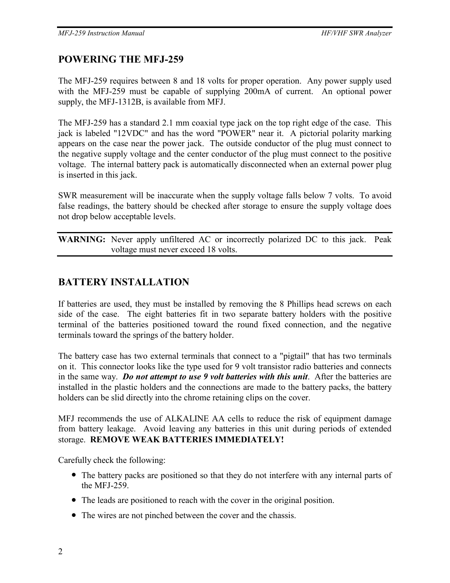### **POWERING THE MFJ-259**

The MFJ-259 requires between 8 and 18 volts for proper operation. Any power supply used with the MFJ-259 must be capable of supplying 200mA of current. An optional power supply, the MFJ-1312B, is available from MFJ.

The MFJ-259 has a standard 2.1 mm coaxial type jack on the top right edge of the case. This jack is labeled "12VDC" and has the word "POWER" near it. A pictorial polarity marking appears on the case near the power jack. The outside conductor of the plug must connect to the negative supply voltage and the center conductor of the plug must connect to the positive voltage. The internal battery pack is automatically disconnected when an external power plug is inserted in this jack.

SWR measurement will be inaccurate when the supply voltage falls below 7 volts. To avoid false readings, the battery should be checked after storage to ensure the supply voltage does not drop below acceptable levels.

**WARNING:** Never apply unfiltered AC or incorrectly polarized DC to this jack. Peak voltage must never exceed 18 volts.

### **BATTERY INSTALLATION**

If batteries are used, they must be installed by removing the 8 Phillips head screws on each side of the case. The eight batteries fit in two separate battery holders with the positive terminal of the batteries positioned toward the round fixed connection, and the negative terminals toward the springs of the battery holder.

The battery case has two external terminals that connect to a "pigtail" that has two terminals on it. This connector looks like the type used for 9 volt transistor radio batteries and connects in the same way. *Do not attempt to use 9 volt batteries with this unit*. After the batteries are installed in the plastic holders and the connections are made to the battery packs, the battery holders can be slid directly into the chrome retaining clips on the cover.

MFJ recommends the use of ALKALINE AA cells to reduce the risk of equipment damage from battery leakage. Avoid leaving any batteries in this unit during periods of extended storage. **REMOVE WEAK BATTERIES IMMEDIATELY!** 

Carefully check the following:

- The battery packs are positioned so that they do not interfere with any internal parts of the MFJ-259.
- The leads are positioned to reach with the cover in the original position.
- The wires are not pinched between the cover and the chassis.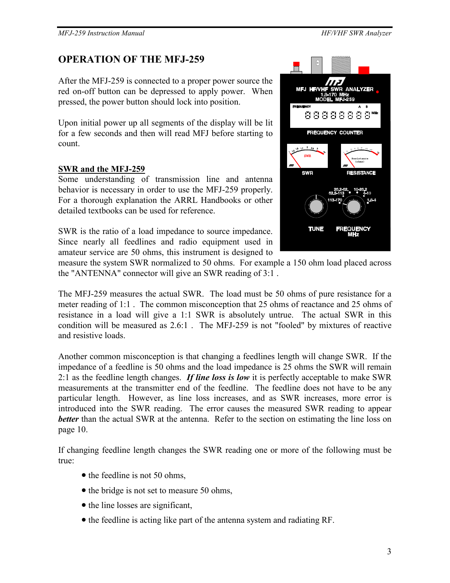## **OPERATION OF THE MFJ-259**

After the MFJ-259 is connected to a proper power source the red on-off button can be depressed to apply power. When pressed, the power button should lock into position.

Upon initial power up all segments of the display will be lit for a few seconds and then will read MFJ before starting to count.

### **SWR and the MFJ-259**

Some understanding of transmission line and antenna behavior is necessary in order to use the MFJ-259 properly. For a thorough explanation the ARRL Handbooks or other detailed textbooks can be used for reference.

SWR is the ratio of a load impedance to source impedance. Since nearly all feedlines and radio equipment used in amateur service are 50 ohms, this instrument is designed to



measure the system SWR normalized to 50 ohms. For example a 150 ohm load placed across the "ANTENNA" connector will give an SWR reading of 3:1 .

The MFJ-259 measures the actual SWR. The load must be 50 ohms of pure resistance for a meter reading of 1:1 . The common misconception that 25 ohms of reactance and 25 ohms of resistance in a load will give a 1:1 SWR is absolutely untrue. The actual SWR in this condition will be measured as 2.6:1 . The MFJ-259 is not "fooled" by mixtures of reactive and resistive loads.

Another common misconception is that changing a feedlines length will change SWR. If the impedance of a feedline is 50 ohms and the load impedance is 25 ohms the SWR will remain 2:1 as the feedline length changes. *If line loss is low* it is perfectly acceptable to make SWR measurements at the transmitter end of the feedline. The feedline does not have to be any particular length. However, as line loss increases, and as SWR increases, more error is introduced into the SWR reading. The error causes the measured SWR reading to appear *better* than the actual SWR at the antenna. Refer to the section on estimating the line loss on page 10.

If changing feedline length changes the SWR reading one or more of the following must be true:

- the feedline is not 50 ohms,
- the bridge is not set to measure 50 ohms,
- the line losses are significant,
- the feedline is acting like part of the antenna system and radiating RF.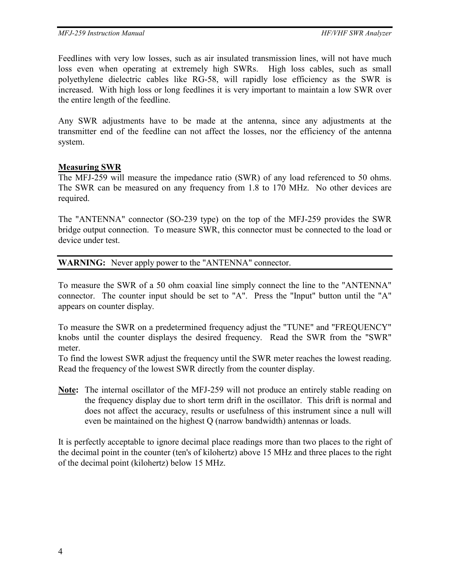Feedlines with very low losses, such as air insulated transmission lines, will not have much loss even when operating at extremely high SWRs. High loss cables, such as small polyethylene dielectric cables like RG-58, will rapidly lose efficiency as the SWR is increased. With high loss or long feedlines it is very important to maintain a low SWR over the entire length of the feedline.

Any SWR adjustments have to be made at the antenna, since any adjustments at the transmitter end of the feedline can not affect the losses, nor the efficiency of the antenna system.

#### **Measuring SWR**

The MFJ-259 will measure the impedance ratio (SWR) of any load referenced to 50 ohms. The SWR can be measured on any frequency from 1.8 to 170 MHz. No other devices are required.

The "ANTENNA" connector (SO-239 type) on the top of the MFJ-259 provides the SWR bridge output connection. To measure SWR, this connector must be connected to the load or device under test.

#### **WARNING:** Never apply power to the "ANTENNA" connector.

To measure the SWR of a 50 ohm coaxial line simply connect the line to the "ANTENNA" connector. The counter input should be set to "A". Press the "Input" button until the "A" appears on counter display.

To measure the SWR on a predetermined frequency adjust the "TUNE" and "FREQUENCY" knobs until the counter displays the desired frequency. Read the SWR from the "SWR" meter.

To find the lowest SWR adjust the frequency until the SWR meter reaches the lowest reading. Read the frequency of the lowest SWR directly from the counter display.

**Note:** The internal oscillator of the MFJ-259 will not produce an entirely stable reading on the frequency display due to short term drift in the oscillator. This drift is normal and does not affect the accuracy, results or usefulness of this instrument since a null will even be maintained on the highest Q (narrow bandwidth) antennas or loads.

It is perfectly acceptable to ignore decimal place readings more than two places to the right of the decimal point in the counter (ten's of kilohertz) above 15 MHz and three places to the right of the decimal point (kilohertz) below 15 MHz.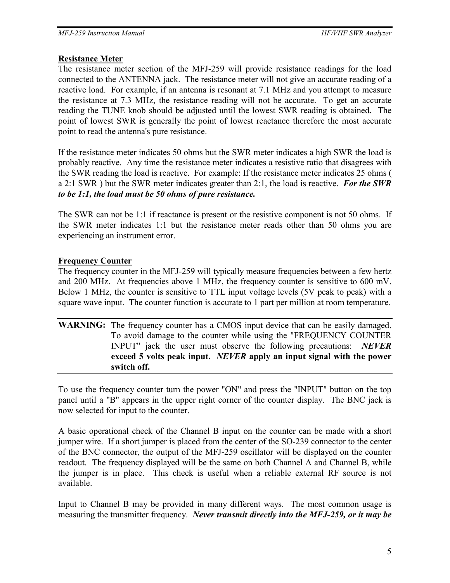#### **Resistance Meter**

The resistance meter section of the MFJ-259 will provide resistance readings for the load connected to the ANTENNA jack. The resistance meter will not give an accurate reading of a reactive load. For example, if an antenna is resonant at 7.1 MHz and you attempt to measure the resistance at 7.3 MHz, the resistance reading will not be accurate. To get an accurate reading the TUNE knob should be adjusted until the lowest SWR reading is obtained. The point of lowest SWR is generally the point of lowest reactance therefore the most accurate point to read the antenna's pure resistance.

If the resistance meter indicates 50 ohms but the SWR meter indicates a high SWR the load is probably reactive. Any time the resistance meter indicates a resistive ratio that disagrees with the SWR reading the load is reactive. For example: If the resistance meter indicates 25 ohms ( a 2:1 SWR ) but the SWR meter indicates greater than 2:1, the load is reactive. *For the SWR to be 1:1, the load must be 50 ohms of pure resistance.*

The SWR can not be 1:1 if reactance is present or the resistive component is not 50 ohms. If the SWR meter indicates 1:1 but the resistance meter reads other than 50 ohms you are experiencing an instrument error.

### **Frequency Counter**

The frequency counter in the MFJ-259 will typically measure frequencies between a few hertz and 200 MHz. At frequencies above 1 MHz, the frequency counter is sensitive to 600 mV. Below 1 MHz, the counter is sensitive to TTL input voltage levels (5V peak to peak) with a square wave input. The counter function is accurate to 1 part per million at room temperature.

#### **WARNING:** The frequency counter has a CMOS input device that can be easily damaged. To avoid damage to the counter while using the "FREQUENCY COUNTER INPUT" jack the user must observe the following precautions: *NEVER* **exceed 5 volts peak input.** *NEVER* **apply an input signal with the power switch off.**

To use the frequency counter turn the power "ON" and press the "INPUT" button on the top panel until a "B" appears in the upper right corner of the counter display. The BNC jack is now selected for input to the counter.

A basic operational check of the Channel B input on the counter can be made with a short jumper wire. If a short jumper is placed from the center of the SO-239 connector to the center of the BNC connector, the output of the MFJ-259 oscillator will be displayed on the counter readout. The frequency displayed will be the same on both Channel A and Channel B, while the jumper is in place. This check is useful when a reliable external RF source is not available.

Input to Channel B may be provided in many different ways. The most common usage is measuring the transmitter frequency. *Never transmit directly into the MFJ-259, or it may be*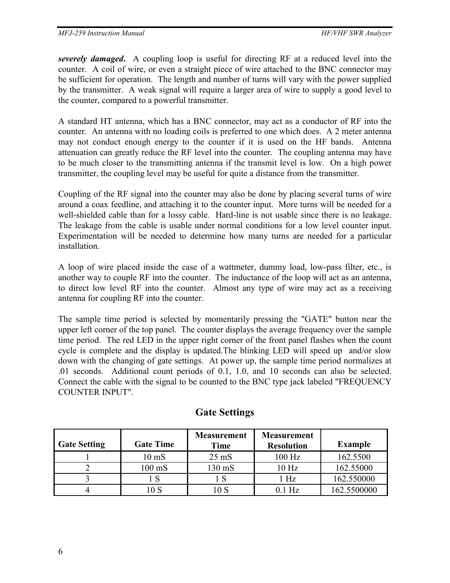*severely damaged***.** A coupling loop is useful for directing RF at a reduced level into the counter. A coil of wire, or even a straight piece of wire attached to the BNC connector may be sufficient for operation. The length and number of turns will vary with the power supplied by the transmitter. A weak signal will require a larger area of wire to supply a good level to the counter, compared to a powerful transmitter.

A standard HT antenna, which has a BNC connector, may act as a conductor of RF into the counter. An antenna with no loading coils is preferred to one which does. A 2 meter antenna may not conduct enough energy to the counter if it is used on the HF bands. Antenna attenuation can greatly reduce the RF level into the counter. The coupling antenna may have to be much closer to the transmitting antenna if the transmit level is low. On a high power transmitter, the coupling level may be useful for quite a distance from the transmitter.

Coupling of the RF signal into the counter may also be done by placing several turns of wire around a coax feedline, and attaching it to the counter input. More turns will be needed for a well-shielded cable than for a lossy cable. Hard-line is not usable since there is no leakage. The leakage from the cable is usable under normal conditions for a low level counter input. Experimentation will be needed to determine how many turns are needed for a particular installation.

A loop of wire placed inside the case of a wattmeter, dummy load, low-pass filter, etc., is another way to couple RF into the counter. The inductance of the loop will act as an antenna, to direct low level RF into the counter. Almost any type of wire may act as a receiving antenna for coupling RF into the counter.

The sample time period is selected by momentarily pressing the "GATE" button near the upper left corner of the top panel. The counter displays the average frequency over the sample time period. The red LED in the upper right corner of the front panel flashes when the count cycle is complete and the display is updated.The blinking LED will speed up and/or slow down with the changing of gate settings. At power up, the sample time period normalizes at .01 seconds. Additional count periods of 0.1, 1.0, and 10 seconds can also be selected. Connect the cable with the signal to be counted to the BNC type jack labeled "FREQUENCY COUNTER INPUT".

| <b>Gate Setting</b> | <b>Gate Time</b> | <b>Measurement</b><br>Time | <b>Measurement</b><br><b>Resolution</b> | <b>Example</b> |
|---------------------|------------------|----------------------------|-----------------------------------------|----------------|
|                     | $10 \text{ mS}$  | $25 \text{ mS}$            | $100$ Hz                                | 162.5500       |
|                     | $100 \text{ mS}$ | 130 mS                     | 10 <sub>Hz</sub>                        | 162.55000      |
|                     |                  |                            | $1$ Hz                                  | 162.550000     |
|                     | 0 S              | 10 S                       | 0 1 Hz                                  | 162.5500000    |

### **Gate Settings**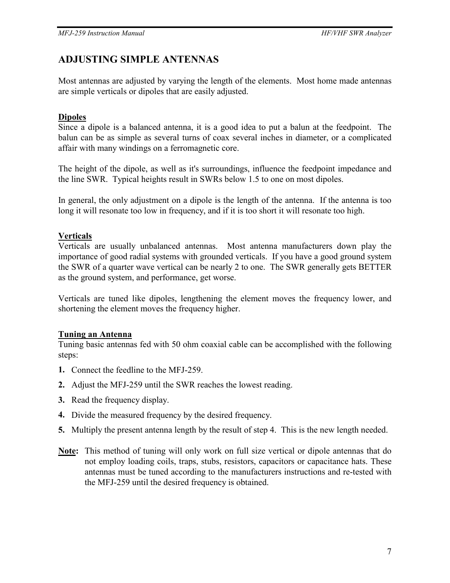# **ADJUSTING SIMPLE ANTENNAS**

Most antennas are adjusted by varying the length of the elements. Most home made antennas are simple verticals or dipoles that are easily adjusted.

### **Dipoles**

Since a dipole is a balanced antenna, it is a good idea to put a balun at the feedpoint. The balun can be as simple as several turns of coax several inches in diameter, or a complicated affair with many windings on a ferromagnetic core.

The height of the dipole, as well as it's surroundings, influence the feedpoint impedance and the line SWR. Typical heights result in SWRs below 1.5 to one on most dipoles.

In general, the only adjustment on a dipole is the length of the antenna. If the antenna is too long it will resonate too low in frequency, and if it is too short it will resonate too high.

### **Verticals**

Verticals are usually unbalanced antennas. Most antenna manufacturers down play the importance of good radial systems with grounded verticals. If you have a good ground system the SWR of a quarter wave vertical can be nearly 2 to one. The SWR generally gets BETTER as the ground system, and performance, get worse.

Verticals are tuned like dipoles, lengthening the element moves the frequency lower, and shortening the element moves the frequency higher.

#### **Tuning an Antenna**

Tuning basic antennas fed with 50 ohm coaxial cable can be accomplished with the following steps:

- **1.** Connect the feedline to the MFJ-259.
- **2.** Adjust the MFJ-259 until the SWR reaches the lowest reading.
- **3.** Read the frequency display.
- **4.** Divide the measured frequency by the desired frequency.
- **5.** Multiply the present antenna length by the result of step 4. This is the new length needed.
- **Note:** This method of tuning will only work on full size vertical or dipole antennas that do not employ loading coils, traps, stubs, resistors, capacitors or capacitance hats. These antennas must be tuned according to the manufacturers instructions and re-tested with the MFJ-259 until the desired frequency is obtained.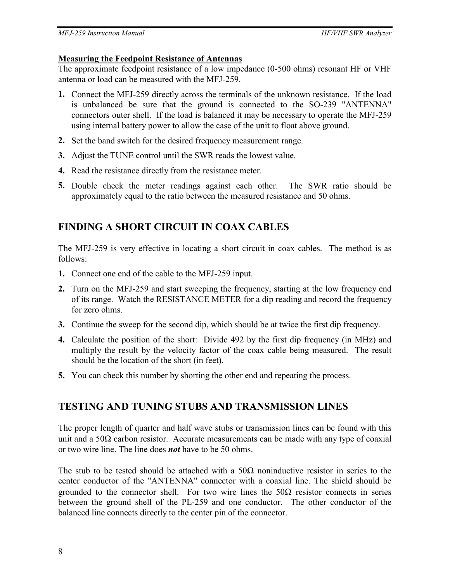#### **Measuring the Feedpoint Resistance of Antennas**

The approximate feedpoint resistance of a low impedance (0-500 ohms) resonant HF or VHF antenna or load can be measured with the MFJ-259.

- **1.** Connect the MFJ-259 directly across the terminals of the unknown resistance. If the load is unbalanced be sure that the ground is connected to the SO-239 "ANTENNA" connectors outer shell. If the load is balanced it may be necessary to operate the MFJ-259 using internal battery power to allow the case of the unit to float above ground.
- **2.** Set the band switch for the desired frequency measurement range.
- **3.** Adjust the TUNE control until the SWR reads the lowest value.
- **4.** Read the resistance directly from the resistance meter.
- **5.** Double check the meter readings against each other. The SWR ratio should be approximately equal to the ratio between the measured resistance and 50 ohms.

# **FINDING A SHORT CIRCUIT IN COAX CABLES**

The MFJ-259 is very effective in locating a short circuit in coax cables. The method is as follows:

- **1.** Connect one end of the cable to the MFJ-259 input.
- **2.** Turn on the MFJ-259 and start sweeping the frequency, starting at the low frequency end of its range. Watch the RESISTANCE METER for a dip reading and record the frequency for zero ohms.
- **3.** Continue the sweep for the second dip, which should be at twice the first dip frequency.
- **4.** Calculate the position of the short: Divide 492 by the first dip frequency (in MHz) and multiply the result by the velocity factor of the coax cable being measured. The result should be the location of the short (in feet).
- **5.** You can check this number by shorting the other end and repeating the process.

# **TESTING AND TUNING STUBS AND TRANSMISSION LINES**

The proper length of quarter and half wave stubs or transmission lines can be found with this unit and a 50 $\Omega$  carbon resistor. Accurate measurements can be made with any type of coaxial or two wire line. The line does *not* have to be 50 ohms.

The stub to be tested should be attached with a  $50\Omega$  noninductive resistor in series to the center conductor of the "ANTENNA" connector with a coaxial line. The shield should be grounded to the connector shell. For two wire lines the  $50\Omega$  resistor connects in series between the ground shell of the PL-259 and one conductor. The other conductor of the balanced line connects directly to the center pin of the connector.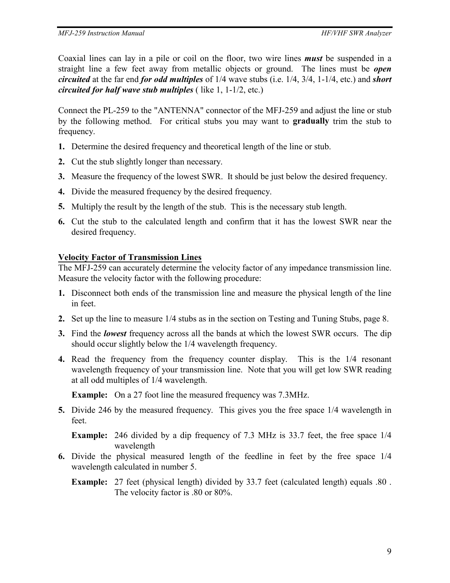Coaxial lines can lay in a pile or coil on the floor, two wire lines *must* be suspended in a straight line a few feet away from metallic objects or ground. The lines must be *open circuited* at the far end *for odd multiples* of 1/4 wave stubs (i.e. 1/4, 3/4, 1-1/4, etc.) and *short circuited for half wave stub multiples* ( like 1, 1-1/2, etc.)

Connect the PL-259 to the "ANTENNA" connector of the MFJ-259 and adjust the line or stub by the following method. For critical stubs you may want to **gradually** trim the stub to frequency.

- **1.** Determine the desired frequency and theoretical length of the line or stub.
- **2.** Cut the stub slightly longer than necessary.
- **3.** Measure the frequency of the lowest SWR. It should be just below the desired frequency.
- **4.** Divide the measured frequency by the desired frequency.
- **5.** Multiply the result by the length of the stub. This is the necessary stub length.
- **6.** Cut the stub to the calculated length and confirm that it has the lowest SWR near the desired frequency.

#### **Velocity Factor of Transmission Lines**

The MFJ-259 can accurately determine the velocity factor of any impedance transmission line. Measure the velocity factor with the following procedure:

- **1.** Disconnect both ends of the transmission line and measure the physical length of the line in feet.
- **2.** Set up the line to measure 1/4 stubs as in the section on Testing and Tuning Stubs, page 8.
- **3.** Find the *lowest* frequency across all the bands at which the lowest SWR occurs. The dip should occur slightly below the 1/4 wavelength frequency.
- **4.** Read the frequency from the frequency counter display. This is the 1/4 resonant wavelength frequency of your transmission line. Note that you will get low SWR reading at all odd multiples of 1/4 wavelength.

**Example:** On a 27 foot line the measured frequency was 7.3MHz.

**5.** Divide 246 by the measured frequency. This gives you the free space 1/4 wavelength in feet.

**Example:** 246 divided by a dip frequency of 7.3 MHz is 33.7 feet, the free space 1/4 wavelength

- **6.** Divide the physical measured length of the feedline in feet by the free space 1/4 wavelength calculated in number 5.
	- **Example:** 27 feet (physical length) divided by 33.7 feet (calculated length) equals .80 . The velocity factor is .80 or 80%.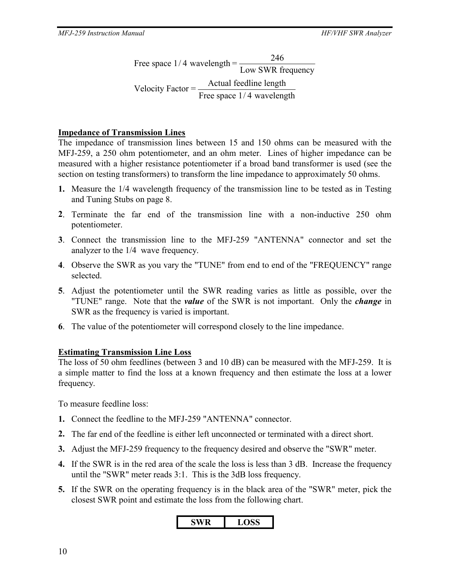Free space 1/4 wavelength  $=\frac{240}{\text{Low SWR frequency}}$ Velocity Factor =  $\frac{\text{Actual feedback}}{\text{[f]}$ Free space  $1/4$  wavelength 246

### **Impedance of Transmission Lines**

The impedance of transmission lines between 15 and 150 ohms can be measured with the MFJ-259, a 250 ohm potentiometer, and an ohm meter. Lines of higher impedance can be measured with a higher resistance potentiometer if a broad band transformer is used (see the section on testing transformers) to transform the line impedance to approximately 50 ohms.

- **1.** Measure the 1/4 wavelength frequency of the transmission line to be tested as in Testing and Tuning Stubs on page 8.
- **2**. Terminate the far end of the transmission line with a non-inductive 250 ohm potentiometer.
- **3**. Connect the transmission line to the MFJ-259 "ANTENNA" connector and set the analyzer to the 1/4 wave frequency.
- **4**. Observe the SWR as you vary the "TUNE" from end to end of the "FREQUENCY" range selected.
- **5**. Adjust the potentiometer until the SWR reading varies as little as possible, over the "TUNE" range. Note that the *value* of the SWR is not important. Only the *change* in SWR as the frequency is varied is important.
- **6**. The value of the potentiometer will correspond closely to the line impedance.

#### **Estimating Transmission Line Loss**

The loss of 50 ohm feedlines (between 3 and 10 dB) can be measured with the MFJ-259. It is a simple matter to find the loss at a known frequency and then estimate the loss at a lower frequency.

To measure feedline loss:

- **1.** Connect the feedline to the MFJ-259 "ANTENNA" connector.
- **2.** The far end of the feedline is either left unconnected or terminated with a direct short.
- **3.** Adjust the MFJ-259 frequency to the frequency desired and observe the "SWR" meter.
- **4.** If the SWR is in the red area of the scale the loss is less than 3 dB. Increase the frequency until the "SWR" meter reads 3:1. This is the 3dB loss frequency.
- **5.** If the SWR on the operating frequency is in the black area of the "SWR" meter, pick the closest SWR point and estimate the loss from the following chart.

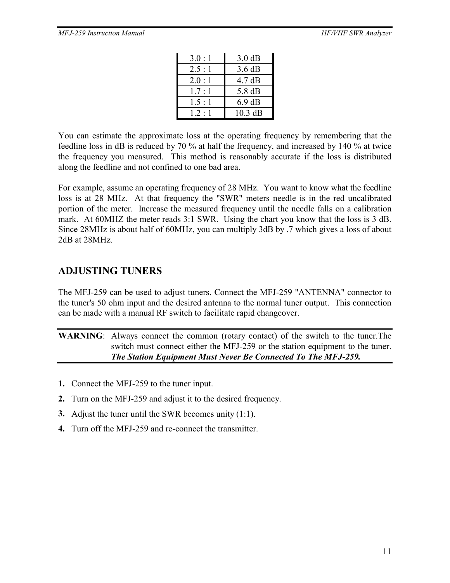| 3.0:1        | $3.0 \text{ dB}$ |
|--------------|------------------|
| 2.5:1        | 3.6 dB           |
| 2.0:1        | $4.7 \text{ dB}$ |
| $17 \cdot 1$ | 5.8 dB           |
| 1.5:1        | $6.9 \text{ dB}$ |
| $12 \cdot 1$ | $10.3$ dB        |

You can estimate the approximate loss at the operating frequency by remembering that the feedline loss in dB is reduced by 70 % at half the frequency, and increased by 140 % at twice the frequency you measured. This method is reasonably accurate if the loss is distributed along the feedline and not confined to one bad area.

For example, assume an operating frequency of 28 MHz. You want to know what the feedline loss is at 28 MHz. At that frequency the "SWR" meters needle is in the red uncalibrated portion of the meter. Increase the measured frequency until the needle falls on a calibration mark. At 60MHZ the meter reads 3:1 SWR. Using the chart you know that the loss is 3 dB. Since 28MHz is about half of 60MHz, you can multiply 3dB by .7 which gives a loss of about 2dB at 28MHz.

### **ADJUSTING TUNERS**

The MFJ-259 can be used to adjust tuners. Connect the MFJ-259 "ANTENNA" connector to the tuner's 50 ohm input and the desired antenna to the normal tuner output. This connection can be made with a manual RF switch to facilitate rapid changeover.

**WARNING**: Always connect the common (rotary contact) of the switch to the tuner.The switch must connect either the MFJ-259 or the station equipment to the tuner. *The Station Equipment Must Never Be Connected To The MFJ-259.*

- **1.** Connect the MFJ-259 to the tuner input.
- **2.** Turn on the MFJ-259 and adjust it to the desired frequency.
- **3.** Adjust the tuner until the SWR becomes unity (1:1).
- **4.** Turn off the MFJ-259 and re-connect the transmitter.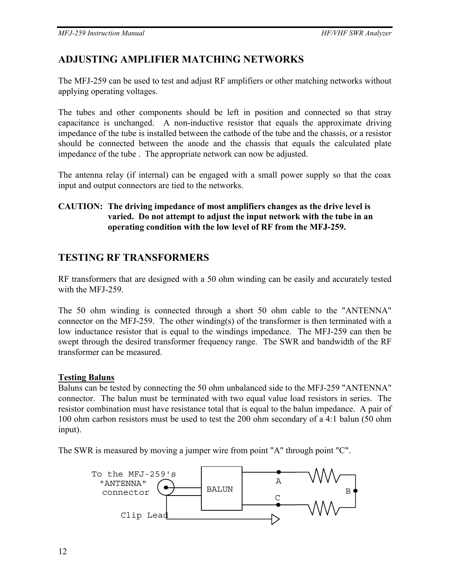# **ADJUSTING AMPLIFIER MATCHING NETWORKS**

The MFJ-259 can be used to test and adjust RF amplifiers or other matching networks without applying operating voltages.

The tubes and other components should be left in position and connected so that stray capacitance is unchanged. A non-inductive resistor that equals the approximate driving impedance of the tube is installed between the cathode of the tube and the chassis, or a resistor should be connected between the anode and the chassis that equals the calculated plate impedance of the tube . The appropriate network can now be adjusted.

The antenna relay (if internal) can be engaged with a small power supply so that the coax input and output connectors are tied to the networks.

### **CAUTION: The driving impedance of most amplifiers changes as the drive level is varied. Do not attempt to adjust the input network with the tube in an operating condition with the low level of RF from the MFJ-259.**

## **TESTING RF TRANSFORMERS**

RF transformers that are designed with a 50 ohm winding can be easily and accurately tested with the MFJ-259.

The 50 ohm winding is connected through a short 50 ohm cable to the "ANTENNA" connector on the MFJ-259. The other winding(s) of the transformer is then terminated with a low inductance resistor that is equal to the windings impedance. The MFJ-259 can then be swept through the desired transformer frequency range. The SWR and bandwidth of the RF transformer can be measured.

### **Testing Baluns**

Baluns can be tested by connecting the 50 ohm unbalanced side to the MFJ-259 "ANTENNA" connector. The balun must be terminated with two equal value load resistors in series. The resistor combination must have resistance total that is equal to the balun impedance. A pair of 100 ohm carbon resistors must be used to test the 200 ohm secondary of a 4:1 balun (50 ohm input).

The SWR is measured by moving a jumper wire from point "A" through point "C".

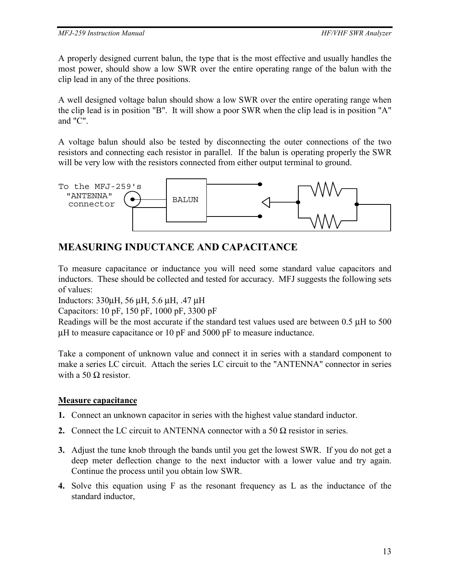A properly designed current balun, the type that is the most effective and usually handles the most power, should show a low SWR over the entire operating range of the balun with the clip lead in any of the three positions.

A well designed voltage balun should show a low SWR over the entire operating range when the clip lead is in position "B". It will show a poor SWR when the clip lead is in position "A" and "C".

A voltage balun should also be tested by disconnecting the outer connections of the two resistors and connecting each resistor in parallel. If the balun is operating properly the SWR will be very low with the resistors connected from either output terminal to ground.



## **MEASURING INDUCTANCE AND CAPACITANCE**

To measure capacitance or inductance you will need some standard value capacitors and inductors. These should be collected and tested for accuracy. MFJ suggests the following sets of values:

Inductors: 330µH, 56 µH, 5.6 µH, .47 µH

Capacitors: 10 pF, 150 pF, 1000 pF, 3300 pF

Readings will be the most accurate if the standard test values used are between 0.5 µH to 500 µH to measure capacitance or 10 pF and 5000 pF to measure inductance.

Take a component of unknown value and connect it in series with a standard component to make a series LC circuit. Attach the series LC circuit to the "ANTENNA" connector in series with a 50  $\Omega$  resistor.

### **Measure capacitance**

- **1.** Connect an unknown capacitor in series with the highest value standard inductor.
- **2.** Connect the LC circuit to ANTENNA connector with a 50  $\Omega$  resistor in series.
- **3.** Adjust the tune knob through the bands until you get the lowest SWR. If you do not get a deep meter deflection change to the next inductor with a lower value and try again. Continue the process until you obtain low SWR.
- **4.** Solve this equation using F as the resonant frequency as L as the inductance of the standard inductor,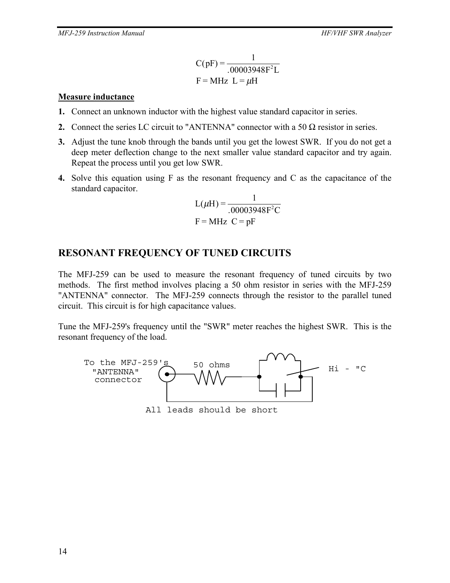$$
C(pF) = \frac{1}{.00003948F^2L}
$$
  
F = MHz L =  $\mu$ H

#### **Measure inductance**

- **1.** Connect an unknown inductor with the highest value standard capacitor in series.
- **2.** Connect the series LC circuit to "ANTENNA" connector with a 50  $\Omega$  resistor in series.
- **3.** Adjust the tune knob through the bands until you get the lowest SWR. If you do not get a deep meter deflection change to the next smaller value standard capacitor and try again. Repeat the process until you get low SWR.
- **4.** Solve this equation using F as the resonant frequency and C as the capacitance of the standard capacitor.

$$
L(\mu H) = \frac{1}{.00003948F^2C}
$$
  
F = MHz C = pF

### **RESONANT FREQUENCY OF TUNED CIRCUITS**

The MFJ-259 can be used to measure the resonant frequency of tuned circuits by two methods. The first method involves placing a 50 ohm resistor in series with the MFJ-259 "ANTENNA" connector. The MFJ-259 connects through the resistor to the parallel tuned circuit. This circuit is for high capacitance values.

Tune the MFJ-259's frequency until the "SWR" meter reaches the highest SWR. This is the resonant frequency of the load.



All leads should be short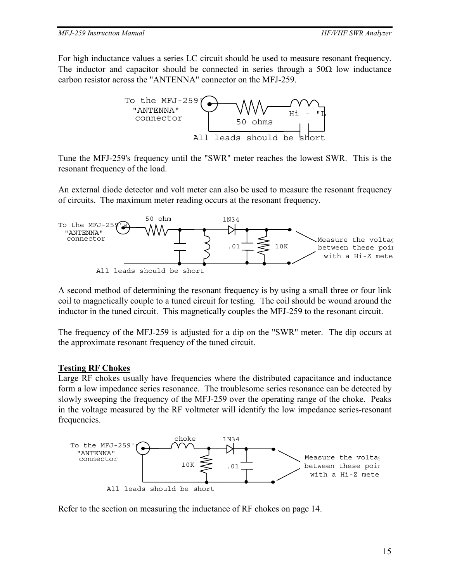For high inductance values a series LC circuit should be used to measure resonant frequency. The inductor and capacitor should be connected in series through a  $50\Omega$  low inductance carbon resistor across the "ANTENNA" connector on the MFJ-259.



Tune the MFJ-259's frequency until the "SWR" meter reaches the lowest SWR. This is the resonant frequency of the load.

An external diode detector and volt meter can also be used to measure the resonant frequency of circuits. The maximum meter reading occurs at the resonant frequency.



A second method of determining the resonant frequency is by using a small three or four link coil to magnetically couple to a tuned circuit for testing. The coil should be wound around the inductor in the tuned circuit. This magnetically couples the MFJ-259 to the resonant circuit.

The frequency of the MFJ-259 is adjusted for a dip on the "SWR" meter. The dip occurs at the approximate resonant frequency of the tuned circuit.

#### **Testing RF Chokes**

Large RF chokes usually have frequencies where the distributed capacitance and inductance form a low impedance series resonance. The troublesome series resonance can be detected by slowly sweeping the frequency of the MFJ-259 over the operating range of the choke. Peaks in the voltage measured by the RF voltmeter will identify the low impedance series-resonant frequencies.



Refer to the section on measuring the inductance of RF chokes on page 14.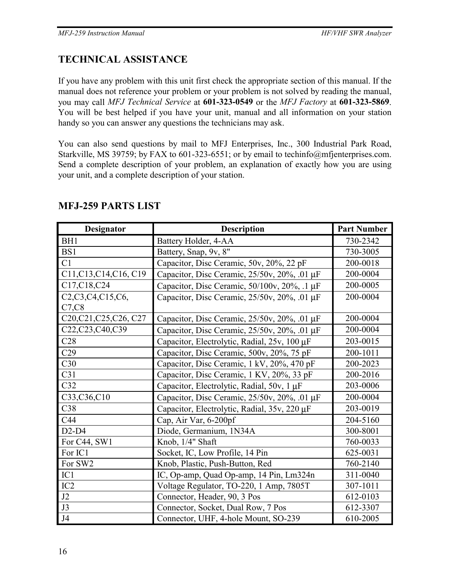# **TECHNICAL ASSISTANCE**

If you have any problem with this unit first check the appropriate section of this manual. If the manual does not reference your problem or your problem is not solved by reading the manual, you may call *MFJ Technical Service* at **601-323-0549** or the *MFJ Factory* at **601-323-5869**. You will be best helped if you have your unit, manual and all information on your station handy so you can answer any questions the technicians may ask.

You can also send questions by mail to MFJ Enterprises, Inc., 300 Industrial Park Road, Starkville, MS 39759; by FAX to 601-323-6551; or by email to techinfo@mfjenterprises.com. Send a complete description of your problem, an explanation of exactly how you are using your unit, and a complete description of your station.

| Designator                                                                          | <b>Description</b>                           | <b>Part Number</b> |
|-------------------------------------------------------------------------------------|----------------------------------------------|--------------------|
| BH1                                                                                 | Battery Holder, 4-AA                         | 730-2342           |
| BS1                                                                                 | Battery, Snap, 9v, 8"                        | 730-3005           |
| C1                                                                                  | Capacitor, Disc Ceramic, 50v, 20%, 22 pF     | 200-0018           |
| C11, C13, C14, C16, C19                                                             | Capacitor, Disc Ceramic, 25/50v, 20%, .01 µF | 200-0004           |
| C17, C18, C24                                                                       | Capacitor, Disc Ceramic, 50/100v, 20%, .1 µF | 200-0005           |
| C <sub>2</sub> ,C <sub>3</sub> ,C <sub>4</sub> ,C <sub>15</sub> ,C <sub>6</sub> ,   | Capacitor, Disc Ceramic, 25/50v, 20%, .01 µF | 200-0004           |
| C7, C8                                                                              |                                              |                    |
| C <sub>20</sub> ,C <sub>21</sub> ,C <sub>25</sub> ,C <sub>26</sub> ,C <sub>27</sub> | Capacitor, Disc Ceramic, 25/50v, 20%, .01 µF | 200-0004           |
| C22,C23,C40,C39                                                                     | Capacitor, Disc Ceramic, 25/50v, 20%, .01 µF | 200-0004           |
| C28                                                                                 | Capacitor, Electrolytic, Radial, 25v, 100 µF | 203-0015           |
| C29                                                                                 | Capacitor, Disc Ceramic, 500v, 20%, 75 pF    | 200-1011           |
| C30                                                                                 | Capacitor, Disc Ceramic, 1 kV, 20%, 470 pF   | 200-2023           |
| C31                                                                                 | Capacitor, Disc Ceramic, 1 KV, 20%, 33 pF    | 200-2016           |
| C32                                                                                 | Capacitor, Electrolytic, Radial, 50v, 1 µF   | 203-0006           |
| C33,C36,C10                                                                         | Capacitor, Disc Ceramic, 25/50v, 20%, .01 µF | 200-0004           |
| C38                                                                                 | Capacitor, Electrolytic, Radial, 35v, 220 µF | 203-0019           |
| C44                                                                                 | Cap, Air Var, 6-200pf                        | 204-5160           |
| $D2-D4$                                                                             | Diode, Germanium, 1N34A                      | 300-8001           |
| For C44, SW1                                                                        | Knob, 1/4" Shaft                             | 760-0033           |
| For IC1                                                                             | Socket, IC, Low Profile, 14 Pin              | 625-0031           |
| For SW2                                                                             | Knob, Plastic, Push-Button, Red              | 760-2140           |
| IC1                                                                                 | IC, Op-amp, Quad Op-amp, 14 Pin, Lm324n      | 311-0040           |
| IC2                                                                                 | Voltage Regulator, TO-220, 1 Amp, 7805T      | 307-1011           |
| J2                                                                                  | Connector, Header, 90, 3 Pos                 | 612-0103           |
| J3                                                                                  | Connector, Socket, Dual Row, 7 Pos           | 612-3307           |
| J4                                                                                  | Connector, UHF, 4-hole Mount, SO-239         | 610-2005           |

### **MFJ-259 PARTS LIST**